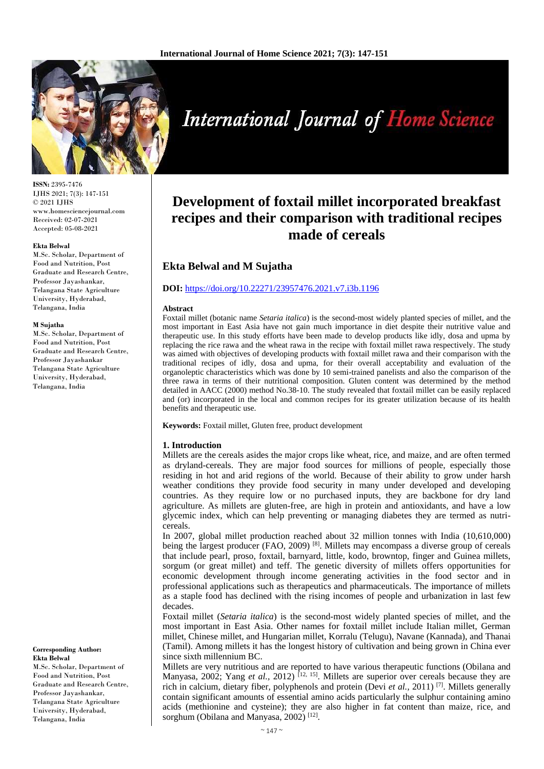

**ISSN:** 2395-7476 IJHS 2021; 7(3): 147-151 © 2021 IJHS www.homesciencejournal.com Received: 02-07-2021 Accepted: 05-08-2021

#### **Ekta Belwal**

M.Sc. Scholar, Department of Food and Nutrition, Post Graduate and Research Centre, Professor Jayashankar, Telangana State Agriculture University, Hyderabad, Telangana, India

#### **M Sujatha**

M.Sc. Scholar, Department of Food and Nutrition, Post Graduate and Research Centre, Professor Jayashankar Telangana State Agriculture University, Hyderabad, Telangana, India

**Corresponding Author: Ekta Belwal** M.Sc. Scholar, Department of Food and Nutrition, Post

Graduate and Research Centre, Professor Jayashankar, Telangana State Agriculture University, Hyderabad, Telangana, India

# **International Journal of Home Science**

# **Development of foxtail millet incorporated breakfast recipes and their comparison with traditional recipes made of cereals**

# **Ekta Belwal and M Sujatha**

#### **DOI:** <https://doi.org/10.22271/23957476.2021.v7.i3b.1196>

#### **Abstract**

Foxtail millet (botanic name *Setaria italica*) is the second-most widely planted species of millet, and the most important in East Asia have not gain much importance in diet despite their nutritive value and therapeutic use. In this study efforts have been made to develop products like idly, dosa and upma by replacing the rice rawa and the wheat rawa in the recipe with foxtail millet rawa respectively. The study was aimed with objectives of developing products with foxtail millet rawa and their comparison with the traditional recipes of idly, dosa and upma, for their overall acceptability and evaluation of the organoleptic characteristics which was done by 10 semi-trained panelists and also the comparison of the three rawa in terms of their nutritional composition. Gluten content was determined by the method detailed in AACC (2000) method No.38-10. The study revealed that foxtail millet can be easily replaced and (or) incorporated in the local and common recipes for its greater utilization because of its health benefits and therapeutic use.

**Keywords:** Foxtail millet, Gluten free, product development

#### **1. Introduction**

Millets are the cereals asides the major crops like wheat, rice, and maize, and are often termed as dryland-cereals. They are major food sources for millions of people, especially those residing in hot and arid regions of the world. Because of their ability to grow under harsh weather conditions they provide food security in many under developed and developing countries. As they require low or no purchased inputs, they are backbone for dry land agriculture. As millets are gluten-free, are high in protein and antioxidants, and have a low glycemic index, which can help preventing or managing diabetes they are termed as nutricereals.

In 2007, global millet production reached about 32 million tonnes with India (10,610,000) being the largest producer  $(FAO, 2009)$ <sup>[8]</sup>. Millets may encompass a diverse group of cereals that include pearl, proso, foxtail, barnyard, little, kodo, browntop, finger and Guinea millets, sorgum (or great millet) and teff. The genetic diversity of millets offers opportunities for economic development through income generating activities in the food sector and in professional applications such as therapeutics and pharmaceuticals. The importance of millets as a staple food has declined with the rising incomes of people and urbanization in last few decades.

Foxtail millet (*Setaria italica*) is the second-most widely planted species of millet, and the most important in East Asia. Other names for foxtail millet include Italian millet, German millet, Chinese millet, and Hungarian millet, Korralu (Telugu), Navane (Kannada), and Thanai (Tamil). Among millets it has the longest history of cultivation and being grown in China ever since sixth millennium BC.

Millets are very nutritious and are reported to have various therapeutic functions (Obilana and Manyasa, 2002; Yang *et al.*, 2012) <sup>[12, 15]</sup>. Millets are superior over cereals because they are rich in calcium, dietary fiber, polyphenols and protein (Devi *et al.,* 2011) [7] . Millets generally contain significant amounts of essential amino acids particularly the sulphur containing amino acids (methionine and cysteine); they are also higher in fat content than maize, rice, and sorghum (Obilana and Manyasa, 2002)<sup>[12]</sup>.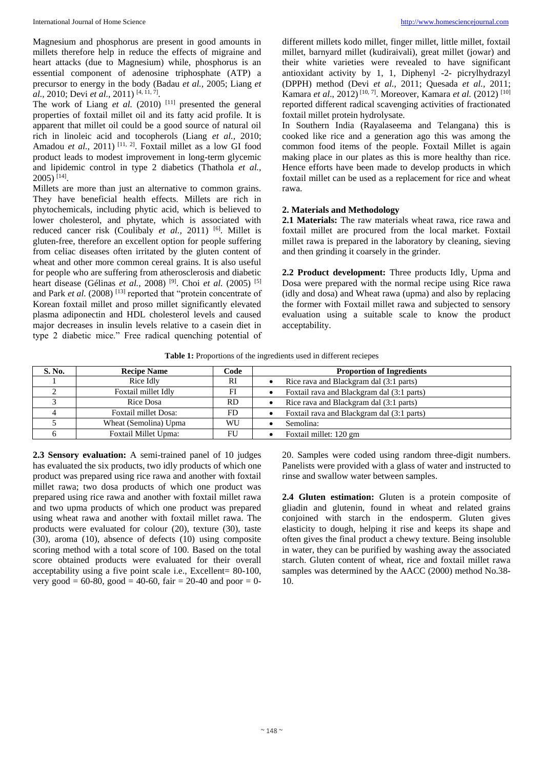Magnesium and phosphorus are present in good amounts in millets therefore help in reduce the effects of migraine and heart attacks (due to Magnesium) while, phosphorus is an essential component of adenosine triphosphate (ATP) a precursor to energy in the body (Badau *et al.,* 2005; Liang *et al.,* 2010; Devi *et al.,* 2011) [4, 11, 7] .

The work of Liang  $et$  al. (2010)<sup>[11]</sup> presented the general properties of foxtail millet oil and its fatty acid profile. It is apparent that millet oil could be a good source of natural oil rich in linoleic acid and tocopherols (Liang *et al.,* 2010; Amadou *et al.*, 2011)<sup>[11, 2]</sup>. Foxtail millet as a low GI food product leads to modest improvement in long-term glycemic and lipidemic control in type 2 diabetics (Thathola *et al.,* 2005) [14] .

Millets are more than just an alternative to common grains. They have beneficial health effects. Millets are rich in phytochemicals, including phytic acid, which is believed to lower cholesterol, and phytate, which is associated with reduced cancer risk (Coulibaly *et al.*, 2011)<sup>[6]</sup>. Millet is gluten-free, therefore an excellent option for people suffering from celiac diseases often irritated by the gluten content of wheat and other more common cereal grains. It is also useful for people who are suffering from atherosclerosis and diabetic heart disease (Gélinas *et al.,* 2008) [9] . Choi *et al.* (2005) [5] and Park *et al.* (2008)<sup>[13]</sup> reported that "protein concentrate of Korean foxtail millet and proso millet significantly elevated plasma adiponectin and HDL cholesterol levels and caused major decreases in insulin levels relative to a casein diet in type 2 diabetic mice." Free radical quenching potential of different millets kodo millet, finger millet, little millet, foxtail millet, barnyard millet (kudiraivali), great millet (jowar) and their white varieties were revealed to have significant antioxidant activity by 1, 1, Diphenyl -2- picrylhydrazyl (DPPH) method (Devi *et al.,* 2011; Quesada *et al.,* 2011; Kamara *et al*., 2012) [10, 7] . Moreover, Kamara *et al.* (2012) [10] reported different radical scavenging activities of fractionated foxtail millet protein hydrolysate.

In Southern India (Rayalaseema and Telangana) this is cooked like rice and a generation ago this was among the common food items of the people. Foxtail Millet is again making place in our plates as this is more healthy than rice. Hence efforts have been made to develop products in which foxtail millet can be used as a replacement for rice and wheat rawa.

#### **2. Materials and Methodology**

**2.1 Materials:** The raw materials wheat rawa, rice rawa and foxtail millet are procured from the local market. Foxtail millet rawa is prepared in the laboratory by cleaning, sieving and then grinding it coarsely in the grinder.

**2.2 Product development:** Three products Idly, Upma and Dosa were prepared with the normal recipe using Rice rawa (idly and dosa) and Wheat rawa (upma) and also by replacing the former with Foxtail millet rawa and subjected to sensory evaluation using a suitable scale to know the product acceptability.

**Table 1:** Proportions of the ingredients used in different reciepes

| S. No. | <b>Recipe Name</b>          | Code | <b>Proportion of Ingredients</b>           |
|--------|-----------------------------|------|--------------------------------------------|
|        | Rice Idly                   | RI   | Rice rava and Blackgram dal (3:1 parts)    |
|        | Foxtail millet Idly         | FI   | Foxtail rava and Blackgram dal (3:1 parts) |
|        | Rice Dosa                   | RD.  | Rice rava and Blackgram dal (3:1 parts)    |
|        | <b>Foxtail millet Dosa:</b> | FD.  | Foxtail rava and Blackgram dal (3:1 parts) |
|        | Wheat (Semolina) Upma       | WU   | Semolina:                                  |
|        | Foxtail Millet Upma:        |      | Foxtail millet: 120 gm                     |

**2.3 Sensory evaluation:** A semi-trained panel of 10 judges has evaluated the six products, two idly products of which one product was prepared using rice rawa and another with foxtail millet rawa; two dosa products of which one product was prepared using rice rawa and another with foxtail millet rawa and two upma products of which one product was prepared using wheat rawa and another with foxtail millet rawa. The products were evaluated for colour (20), texture (30), taste (30), aroma (10), absence of defects (10) using composite scoring method with a total score of 100. Based on the total score obtained products were evaluated for their overall acceptability using a five point scale i.e., Excellent= 80-100, very good =  $60-80$ , good =  $40-60$ , fair =  $20-40$  and poor =  $0-$  20. Samples were coded using random three-digit numbers. Panelists were provided with a glass of water and instructed to rinse and swallow water between samples.

**2.4 Gluten estimation:** Gluten is a protein composite of gliadin and glutenin, found in wheat and related grains conjoined with starch in the endosperm. Gluten gives elasticity to dough, helping it rise and keeps its shape and often gives the final product a chewy texture. Being insoluble in water, they can be purified by washing away the associated starch. Gluten content of wheat, rice and foxtail millet rawa samples was determined by the AACC (2000) method No.38- 10.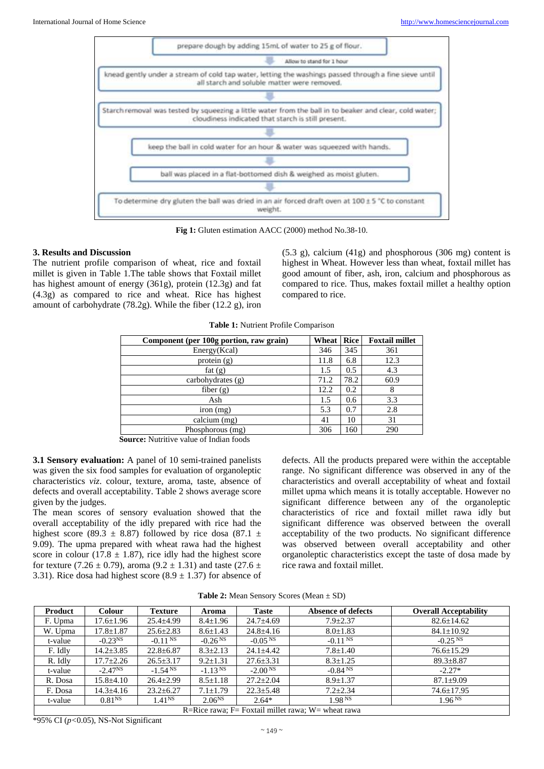

**Fig 1:** Gluten estimation AACC (2000) method No.38-10.

#### **3. Results and Discussion**

The nutrient profile comparison of wheat, rice and foxtail millet is given in Table 1.The table shows that Foxtail millet has highest amount of energy (361g), protein (12.3g) and fat (4.3g) as compared to rice and wheat. Rice has highest amount of carbohydrate (78.2g). While the fiber (12.2 g), iron

(5.3 g), calcium (41g) and phosphorous (306 mg) content is highest in Wheat. However less than wheat, foxtail millet has good amount of fiber, ash, iron, calcium and phosphorous as compared to rice. Thus, makes foxtail millet a healthy option compared to rice.

| Table 1: Nutrient Profile Comparison |  |  |  |  |  |  |
|--------------------------------------|--|--|--|--|--|--|
|--------------------------------------|--|--|--|--|--|--|

| Component (per 100g portion, raw grain) | Wheat | Rice | <b>Foxtail millet</b> |
|-----------------------------------------|-------|------|-----------------------|
| Energy(Kcal)                            | 346   | 345  | 361                   |
| protein (g)                             | 11.8  | 6.8  | 12.3                  |
| fat $(g)$                               | 1.5   | 0.5  | 4.3                   |
| carbohydrates $(g)$                     | 71.2  | 78.2 | 60.9                  |
| fiber $(g)$                             | 12.2  | 0.2  |                       |
| Ash                                     | 1.5   | 0.6  | 3.3                   |
| iron (mg)                               | 5.3   | 0.7  | 2.8                   |
| calcium (mg)                            | 41    | 10   | 31                    |
| Phosphorous (mg)                        | 306   | 160  | 290                   |
| .                                       |       |      |                       |

**Source:** Nutritive value of Indian foods

**3.1 Sensory evaluation:** A panel of 10 semi-trained panelists was given the six food samples for evaluation of organoleptic characteristics *viz*. colour, texture, aroma, taste, absence of defects and overall acceptability. Table 2 shows average score given by the judges.

The mean scores of sensory evaluation showed that the overall acceptability of the idly prepared with rice had the highest score (89.3  $\pm$  8.87) followed by rice dosa (87.1  $\pm$ 9.09). The upma prepared with wheat rawa had the highest score in colour (17.8  $\pm$  1.87), rice idly had the highest score for texture (7.26  $\pm$  0.79), aroma (9.2  $\pm$  1.31) and taste (27.6  $\pm$ 3.31). Rice dosa had highest score  $(8.9 \pm 1.37)$  for absence of defects. All the products prepared were within the acceptable range. No significant difference was observed in any of the characteristics and overall acceptability of wheat and foxtail millet upma which means it is totally acceptable. However no significant difference between any of the organoleptic characteristics of rice and foxtail millet rawa idly but significant difference was observed between the overall acceptability of the two products. No significant difference was observed between overall acceptability and other organoleptic characteristics except the taste of dosa made by rice rawa and foxtail millet.

| Product                                                | <b>Colour</b>      | <b>Texture</b>     | Aroma                 | Taste           | Absence of defects | <b>Overall Acceptability</b> |
|--------------------------------------------------------|--------------------|--------------------|-----------------------|-----------------|--------------------|------------------------------|
| F. Upma                                                | $17.6 \pm 1.96$    | $25.4 \pm 4.99$    | $8.4 \pm 1.96$        | $24.7 \pm 4.69$ | $7.9 + 2.37$       | $82.6 \pm 14.62$             |
| W. Upma                                                | $17.8 \pm 1.87$    | $25.6 \pm 2.83$    | $8.6 \pm 1.43$        | $24.8 \pm 4.16$ | $8.0 \pm 1.83$     | $84.1 \pm 10.92$             |
| t-value                                                | $-0.23^{NS}$       | $-0.11$ NS         | $-0.26$ <sup>NS</sup> | $-0.05NS$       | $-0.11$ NS         | $-0.25$ <sup>NS</sup>        |
| F. Idly                                                | $14.2 \pm 3.85$    | $22.8 \pm 6.87$    | $8.3 \pm 2.13$        | $24.1 \pm 4.42$ | $7.8 \pm 1.40$     | $76.6 \pm 15.29$             |
| R. Idly                                                | $17.7 \pm 2.26$    | $26.5 \pm 3.17$    | $9.2 \pm 1.31$        | $27.6 \pm 3.31$ | $8.3 \pm 1.25$     | $89.3 \pm 8.87$              |
| t-value                                                | $-2.47NS$          | $-1.54^{N}$        | $-1.13$ NS            | $-2.00NS$       | $-0.84$ NS         | $-2.27*$                     |
| R. Dosa                                                | $15.8 \pm 4.10$    | $26.4 \pm 2.99$    | $8.5 \pm 1.18$        | $27.2 \pm 2.04$ | $8.9 \pm 1.37$     | $87.1 \pm 9.09$              |
| F. Dosa                                                | $14.3 \pm 4.16$    | $23.2 \pm 6.27$    | $7.1 \pm 1.79$        | $22.3 \pm 5.48$ | $7.2 \pm 2.34$     | $74.6 \pm 17.95$             |
| t-value                                                | 0.81 <sup>NS</sup> | 1.41 <sup>NS</sup> | $2.06^{NS}$           | $2.64*$         | 1.98 <sup>NS</sup> | 1.96 <sup>NS</sup>           |
| R=Rice rawa; $F=$ Foxtail millet rawa; $W=$ wheat rawa |                    |                    |                       |                 |                    |                              |

\*95% CI (*p<*0.05), NS-Not Significant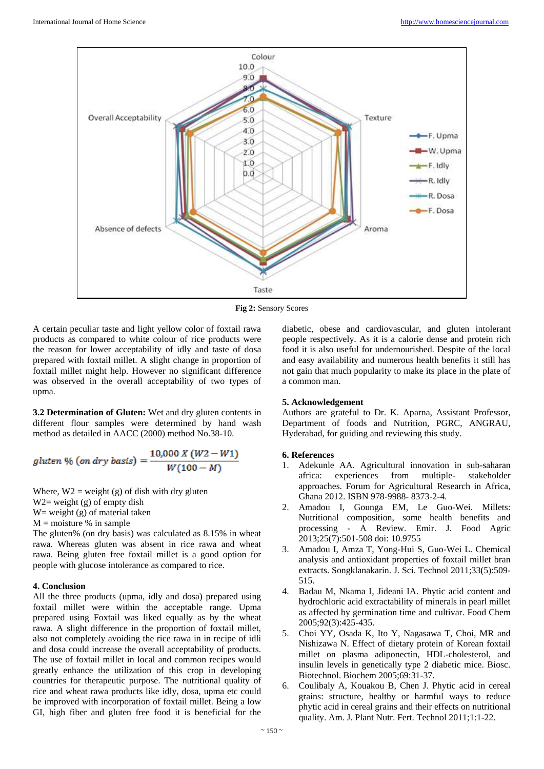

**Fig 2:** Sensory Scores

A certain peculiar taste and light yellow color of foxtail rawa products as compared to white colour of rice products were the reason for lower acceptability of idly and taste of dosa prepared with foxtail millet. A slight change in proportion of foxtail millet might help. However no significant difference was observed in the overall acceptability of two types of upma.

**3.2 Determination of Gluten:** Wet and dry gluten contents in different flour samples were determined by hand wash method as detailed in AACC (2000) method No.38-10.

gluten % (on dry basis) = 
$$
\frac{10,000 X (W2 - W1)}{W(100 - M)}
$$

Where,  $W2$  = weight (g) of dish with dry gluten W<sub>2</sub> = weight (g) of empty dish W = weight  $(g)$  of material taken  $M =$  moisture % in sample

The gluten% (on dry basis) was calculated as 8.15% in wheat rawa. Whereas gluten was absent in rice rawa and wheat rawa. Being gluten free foxtail millet is a good option for people with glucose intolerance as compared to rice.

#### **4. Conclusion**

All the three products (upma, idly and dosa) prepared using foxtail millet were within the acceptable range. Upma prepared using Foxtail was liked equally as by the wheat rawa. A slight difference in the proportion of foxtail millet, also not completely avoiding the rice rawa in in recipe of idli and dosa could increase the overall acceptability of products. The use of foxtail millet in local and common recipes would greatly enhance the utilization of this crop in developing countries for therapeutic purpose. The nutritional quality of rice and wheat rawa products like idly, dosa, upma etc could be improved with incorporation of foxtail millet. Being a low GI, high fiber and gluten free food it is beneficial for the

diabetic, obese and cardiovascular, and gluten intolerant people respectively. As it is a calorie dense and protein rich food it is also useful for undernourished. Despite of the local and easy availability and numerous health benefits it still has not gain that much popularity to make its place in the plate of a common man.

## **5. Acknowledgement**

Authors are grateful to Dr. K. Aparna, Assistant Professor, Department of foods and Nutrition, PGRC, ANGRAU, Hyderabad, for guiding and reviewing this study.

## **6. References**

- 1. Adekunle AA. Agricultural innovation in sub-saharan africa: experiences from multiple- stakeholder approaches. Forum for Agricultural Research in Africa, Ghana 2012. ISBN 978-9988- 8373-2-4.
- 2. Amadou I, Gounga EM, Le Guo-Wei. Millets: Nutritional composition, some health benefits and processing - A Review. Emir. J. Food Agric 2013;25(7):501-508 doi: 10.9755
- 3. Amadou I, Amza T, Yong-Hui S, Guo-Wei L. Chemical analysis and antioxidant properties of foxtail millet bran extracts. Songklanakarin. J. Sci. Technol 2011;33(5):509- 515.
- 4. Badau M, Nkama I, Jideani IA. Phytic acid content and hydrochloric acid extractability of minerals in pearl millet as affected by germination time and cultivar. Food Chem 2005;92(3):425-435.
- 5. Choi YY, Osada K, Ito Y, Nagasawa T, Choi, MR and Nishizawa N. Effect of dietary protein of Korean foxtail millet on plasma adiponectin, HDL-cholesterol, and insulin levels in genetically type 2 diabetic mice. Biosc. Biotechnol. Biochem 2005;69:31-37.
- 6. Coulibaly A, Kouakou B, Chen J. Phytic acid in cereal grains: structure, healthy or harmful ways to reduce phytic acid in cereal grains and their effects on nutritional quality. Am. J. Plant Nutr. Fert. Technol 2011;1:1-22.